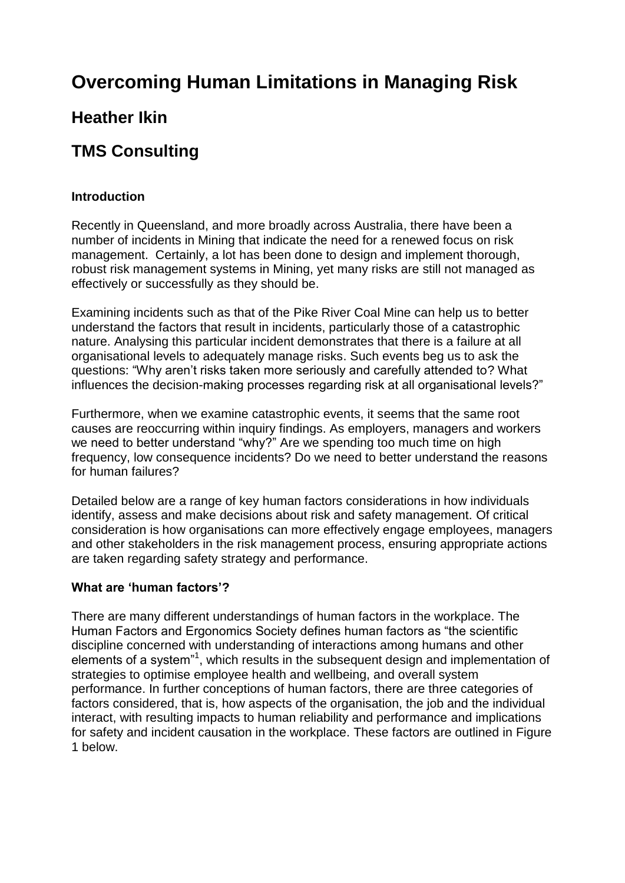# **Overcoming Human Limitations in Managing Risk**

## **Heather Ikin**

## **TMS Consulting**

## **Introduction**

Recently in Queensland, and more broadly across Australia, there have been a number of incidents in Mining that indicate the need for a renewed focus on risk management. Certainly, a lot has been done to design and implement thorough, robust risk management systems in Mining, yet many risks are still not managed as effectively or successfully as they should be.

Examining incidents such as that of the Pike River Coal Mine can help us to better understand the factors that result in incidents, particularly those of a catastrophic nature. Analysing this particular incident demonstrates that there is a failure at all organisational levels to adequately manage risks. Such events beg us to ask the questions: "Why aren't risks taken more seriously and carefully attended to? What influences the decision-making processes regarding risk at all organisational levels?"

Furthermore, when we examine catastrophic events, it seems that the same root causes are reoccurring within inquiry findings. As employers, managers and workers we need to better understand "why?" Are we spending too much time on high frequency, low consequence incidents? Do we need to better understand the reasons for human failures?

Detailed below are a range of key human factors considerations in how individuals identify, assess and make decisions about risk and safety management. Of critical consideration is how organisations can more effectively engage employees, managers and other stakeholders in the risk management process, ensuring appropriate actions are taken regarding safety strategy and performance.

## **What are 'human factors'?**

There are many different understandings of human factors in the workplace. The Human Factors and Ergonomics Society defines human factors as "the scientific discipline concerned with understanding of interactions among humans and other elements of a system"<sup>1</sup>, which results in the subsequent design and implementation of strategies to optimise employee health and wellbeing, and overall system performance. In further conceptions of human factors, there are three categories of factors considered, that is, how aspects of the organisation, the job and the individual interact, with resulting impacts to human reliability and performance and implications for safety and incident causation in the workplace. These factors are outlined in Figure 1 below.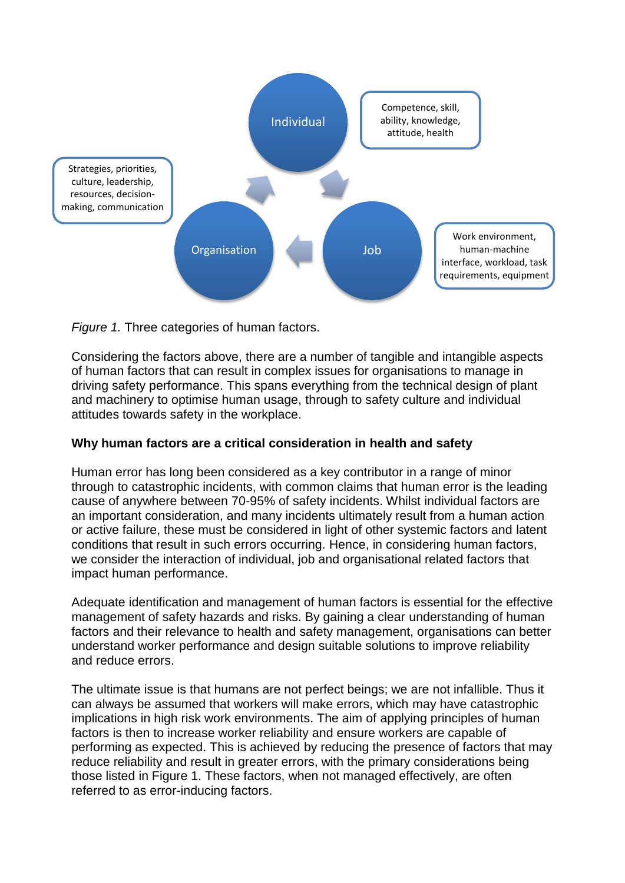

*Figure 1.* Three categories of human factors.

Considering the factors above, there are a number of tangible and intangible aspects of human factors that can result in complex issues for organisations to manage in driving safety performance. This spans everything from the technical design of plant and machinery to optimise human usage, through to safety culture and individual attitudes towards safety in the workplace.

#### **Why human factors are a critical consideration in health and safety**

Human error has long been considered as a key contributor in a range of minor through to catastrophic incidents, with common claims that human error is the leading cause of anywhere between 70-95% of safety incidents. Whilst individual factors are an important consideration, and many incidents ultimately result from a human action or active failure, these must be considered in light of other systemic factors and latent conditions that result in such errors occurring. Hence, in considering human factors, we consider the interaction of individual, job and organisational related factors that impact human performance.

Adequate identification and management of human factors is essential for the effective management of safety hazards and risks. By gaining a clear understanding of human factors and their relevance to health and safety management, organisations can better understand worker performance and design suitable solutions to improve reliability and reduce errors.

The ultimate issue is that humans are not perfect beings; we are not infallible. Thus it can always be assumed that workers will make errors, which may have catastrophic implications in high risk work environments. The aim of applying principles of human factors is then to increase worker reliability and ensure workers are capable of performing as expected. This is achieved by reducing the presence of factors that may reduce reliability and result in greater errors, with the primary considerations being those listed in Figure 1. These factors, when not managed effectively, are often referred to as error-inducing factors.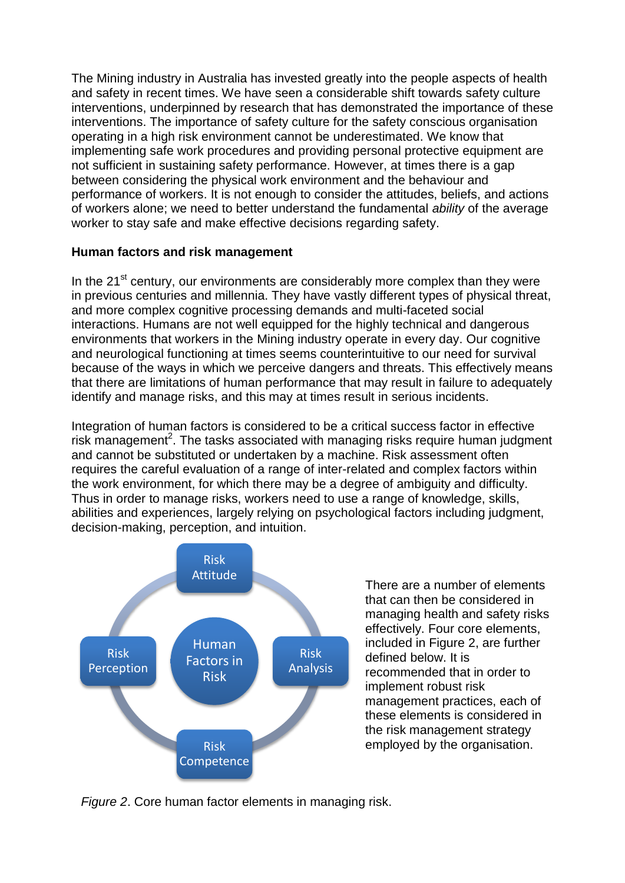The Mining industry in Australia has invested greatly into the people aspects of health and safety in recent times. We have seen a considerable shift towards safety culture interventions, underpinned by research that has demonstrated the importance of these interventions. The importance of safety culture for the safety conscious organisation operating in a high risk environment cannot be underestimated. We know that implementing safe work procedures and providing personal protective equipment are not sufficient in sustaining safety performance. However, at times there is a gap between considering the physical work environment and the behaviour and performance of workers. It is not enough to consider the attitudes, beliefs, and actions of workers alone; we need to better understand the fundamental *ability* of the average worker to stay safe and make effective decisions regarding safety.

## **Human factors and risk management**

In the  $21<sup>st</sup>$  century, our environments are considerably more complex than they were in previous centuries and millennia. They have vastly different types of physical threat, and more complex cognitive processing demands and multi-faceted social interactions. Humans are not well equipped for the highly technical and dangerous environments that workers in the Mining industry operate in every day. Our cognitive and neurological functioning at times seems counterintuitive to our need for survival because of the ways in which we perceive dangers and threats. This effectively means that there are limitations of human performance that may result in failure to adequately identify and manage risks, and this may at times result in serious incidents.

Integration of human factors is considered to be a critical success factor in effective risk management<sup>2</sup>. The tasks associated with managing risks require human judgment and cannot be substituted or undertaken by a machine. Risk assessment often requires the careful evaluation of a range of inter-related and complex factors within the work environment, for which there may be a degree of ambiguity and difficulty. Thus in order to manage risks, workers need to use a range of knowledge, skills, abilities and experiences, largely relying on psychological factors including judgment, decision-making, perception, and intuition.



There are a number of elements that can then be considered in managing health and safety risks effectively. Four core elements, included in Figure 2, are further defined below. It is recommended that in order to implement robust risk management practices, each of these elements is considered in the risk management strategy employed by the organisation.

*Figure 2*. Core human factor elements in managing risk.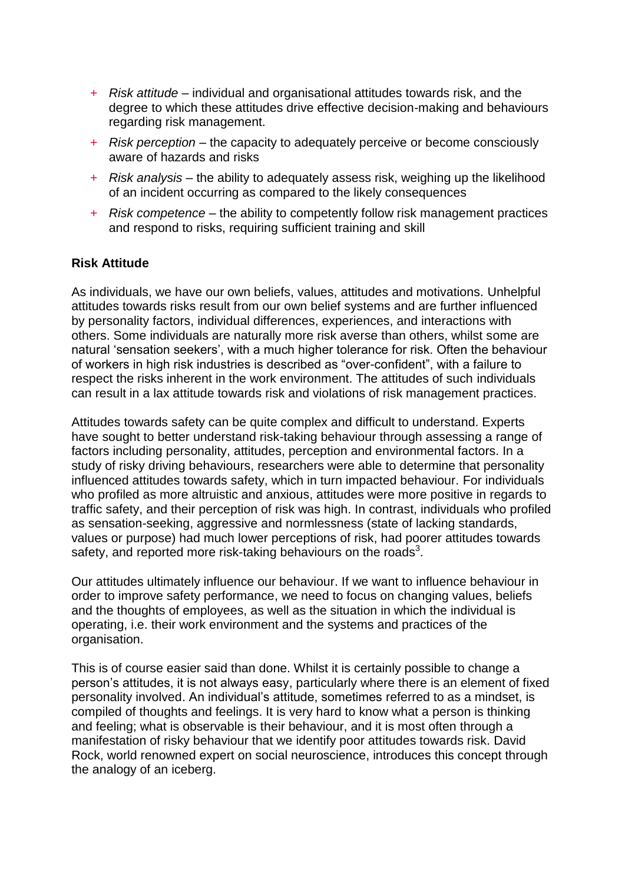- + *Risk attitude* individual and organisational attitudes towards risk, and the degree to which these attitudes drive effective decision-making and behaviours regarding risk management.
- + *Risk perception* the capacity to adequately perceive or become consciously aware of hazards and risks
- + *Risk analysis* the ability to adequately assess risk, weighing up the likelihood of an incident occurring as compared to the likely consequences
- + *Risk competence* the ability to competently follow risk management practices and respond to risks, requiring sufficient training and skill

#### **Risk Attitude**

As individuals, we have our own beliefs, values, attitudes and motivations. Unhelpful attitudes towards risks result from our own belief systems and are further influenced by personality factors, individual differences, experiences, and interactions with others. Some individuals are naturally more risk averse than others, whilst some are natural 'sensation seekers', with a much higher tolerance for risk. Often the behaviour of workers in high risk industries is described as "over-confident", with a failure to respect the risks inherent in the work environment. The attitudes of such individuals can result in a lax attitude towards risk and violations of risk management practices.

Attitudes towards safety can be quite complex and difficult to understand. Experts have sought to better understand risk-taking behaviour through assessing a range of factors including personality, attitudes, perception and environmental factors. In a study of risky driving behaviours, researchers were able to determine that personality influenced attitudes towards safety, which in turn impacted behaviour. For individuals who profiled as more altruistic and anxious, attitudes were more positive in regards to traffic safety, and their perception of risk was high. In contrast, individuals who profiled as sensation-seeking, aggressive and normlessness (state of lacking standards, values or purpose) had much lower perceptions of risk, had poorer attitudes towards safety, and reported more risk-taking behaviours on the roads<sup>3</sup>.

Our attitudes ultimately influence our behaviour. If we want to influence behaviour in order to improve safety performance, we need to focus on changing values, beliefs and the thoughts of employees, as well as the situation in which the individual is operating, i.e. their work environment and the systems and practices of the organisation.

This is of course easier said than done. Whilst it is certainly possible to change a person's attitudes, it is not always easy, particularly where there is an element of fixed personality involved. An individual's attitude, sometimes referred to as a mindset, is compiled of thoughts and feelings. It is very hard to know what a person is thinking and feeling; what is observable is their behaviour, and it is most often through a manifestation of risky behaviour that we identify poor attitudes towards risk. David Rock, world renowned expert on social neuroscience, introduces this concept through the analogy of an iceberg.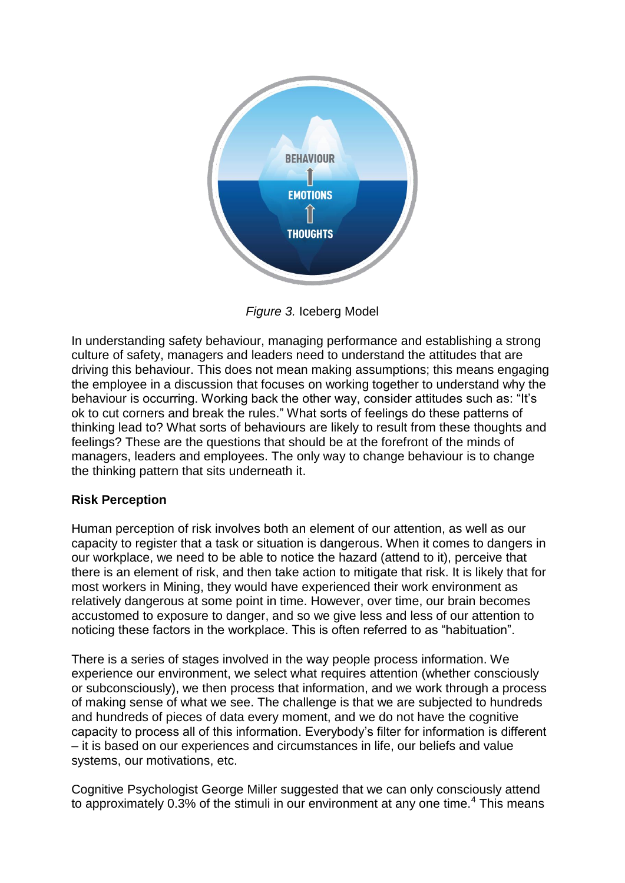

*Figure 3.* Iceberg Model

In understanding safety behaviour, managing performance and establishing a strong culture of safety, managers and leaders need to understand the attitudes that are driving this behaviour. This does not mean making assumptions; this means engaging the employee in a discussion that focuses on working together to understand why the behaviour is occurring. Working back the other way, consider attitudes such as: "It's ok to cut corners and break the rules." What sorts of feelings do these patterns of thinking lead to? What sorts of behaviours are likely to result from these thoughts and feelings? These are the questions that should be at the forefront of the minds of managers, leaders and employees. The only way to change behaviour is to change the thinking pattern that sits underneath it.

## **Risk Perception**

Human perception of risk involves both an element of our attention, as well as our capacity to register that a task or situation is dangerous. When it comes to dangers in our workplace, we need to be able to notice the hazard (attend to it), perceive that there is an element of risk, and then take action to mitigate that risk. It is likely that for most workers in Mining, they would have experienced their work environment as relatively dangerous at some point in time. However, over time, our brain becomes accustomed to exposure to danger, and so we give less and less of our attention to noticing these factors in the workplace. This is often referred to as "habituation".

There is a series of stages involved in the way people process information. We experience our environment, we select what requires attention (whether consciously or subconsciously), we then process that information, and we work through a process of making sense of what we see. The challenge is that we are subjected to hundreds and hundreds of pieces of data every moment, and we do not have the cognitive capacity to process all of this information. Everybody's filter for information is different – it is based on our experiences and circumstances in life, our beliefs and value systems, our motivations, etc.

Cognitive Psychologist George Miller suggested that we can only consciously attend to approximately 0.3% of the stimuli in our environment at any one time.<sup>4</sup> This means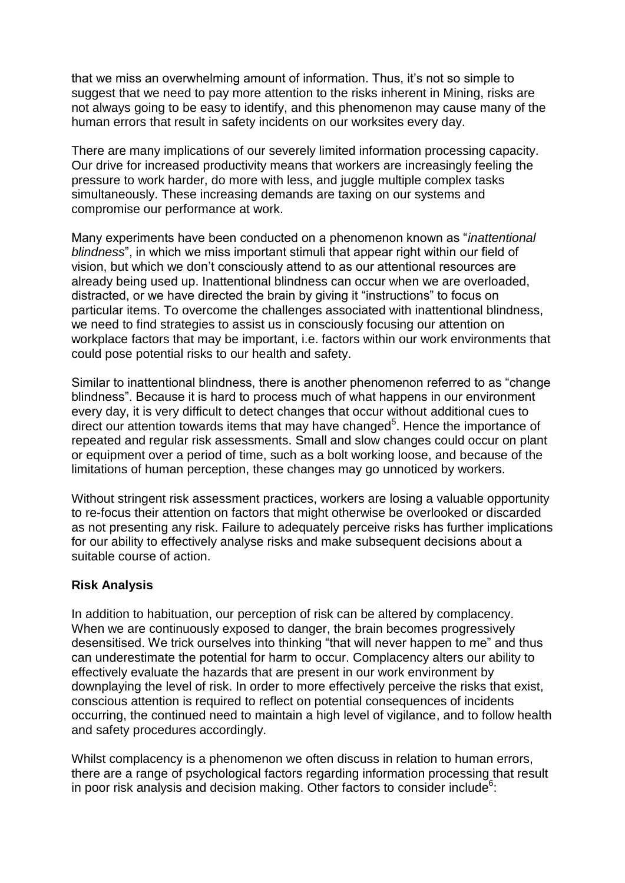that we miss an overwhelming amount of information. Thus, it's not so simple to suggest that we need to pay more attention to the risks inherent in Mining, risks are not always going to be easy to identify, and this phenomenon may cause many of the human errors that result in safety incidents on our worksites every day.

There are many implications of our severely limited information processing capacity. Our drive for increased productivity means that workers are increasingly feeling the pressure to work harder, do more with less, and juggle multiple complex tasks simultaneously. These increasing demands are taxing on our systems and compromise our performance at work.

Many experiments have been conducted on a phenomenon known as "*inattentional blindness*", in which we miss important stimuli that appear right within our field of vision, but which we don't consciously attend to as our attentional resources are already being used up. Inattentional blindness can occur when we are overloaded, distracted, or we have directed the brain by giving it "instructions" to focus on particular items. To overcome the challenges associated with inattentional blindness, we need to find strategies to assist us in consciously focusing our attention on workplace factors that may be important, i.e. factors within our work environments that could pose potential risks to our health and safety.

Similar to inattentional blindness, there is another phenomenon referred to as "change blindness". Because it is hard to process much of what happens in our environment every day, it is very difficult to detect changes that occur without additional cues to direct our attention towards items that may have changed<sup>5</sup>. Hence the importance of repeated and regular risk assessments. Small and slow changes could occur on plant or equipment over a period of time, such as a bolt working loose, and because of the limitations of human perception, these changes may go unnoticed by workers.

Without stringent risk assessment practices, workers are losing a valuable opportunity to re-focus their attention on factors that might otherwise be overlooked or discarded as not presenting any risk. Failure to adequately perceive risks has further implications for our ability to effectively analyse risks and make subsequent decisions about a suitable course of action.

#### **Risk Analysis**

In addition to habituation, our perception of risk can be altered by complacency. When we are continuously exposed to danger, the brain becomes progressively desensitised. We trick ourselves into thinking "that will never happen to me" and thus can underestimate the potential for harm to occur. Complacency alters our ability to effectively evaluate the hazards that are present in our work environment by downplaying the level of risk. In order to more effectively perceive the risks that exist, conscious attention is required to reflect on potential consequences of incidents occurring, the continued need to maintain a high level of vigilance, and to follow health and safety procedures accordingly.

Whilst complacency is a phenomenon we often discuss in relation to human errors, there are a range of psychological factors regarding information processing that result in poor risk analysis and decision making. Other factors to consider include<sup>6</sup>: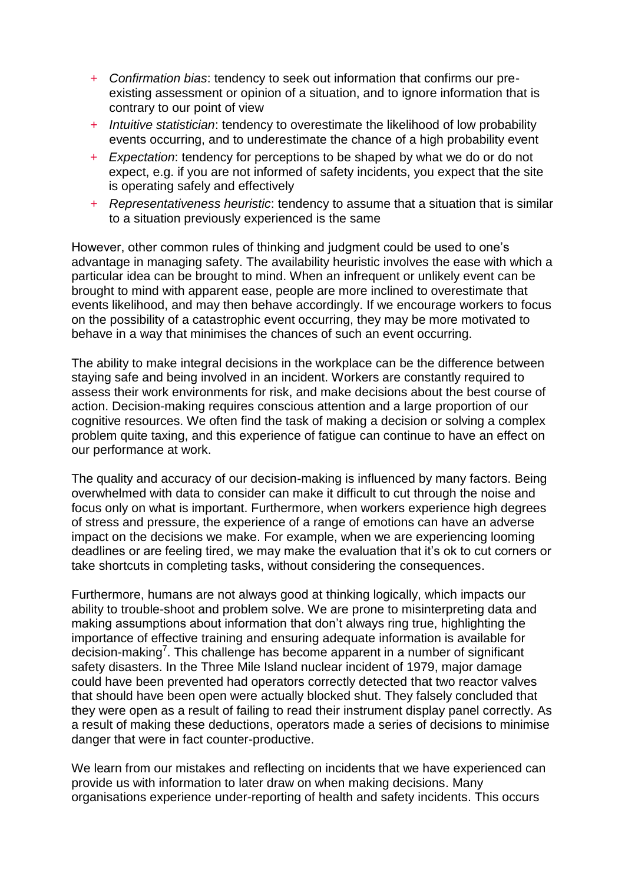- + *Confirmation bias*: tendency to seek out information that confirms our preexisting assessment or opinion of a situation, and to ignore information that is contrary to our point of view
- + *Intuitive statistician*: tendency to overestimate the likelihood of low probability events occurring, and to underestimate the chance of a high probability event
- + *Expectation*: tendency for perceptions to be shaped by what we do or do not expect, e.g. if you are not informed of safety incidents, you expect that the site is operating safely and effectively
- + *Representativeness heuristic*: tendency to assume that a situation that is similar to a situation previously experienced is the same

However, other common rules of thinking and judgment could be used to one's advantage in managing safety. The availability heuristic involves the ease with which a particular idea can be brought to mind. When an infrequent or unlikely event can be brought to mind with apparent ease, people are more inclined to overestimate that events likelihood, and may then behave accordingly. If we encourage workers to focus on the possibility of a catastrophic event occurring, they may be more motivated to behave in a way that minimises the chances of such an event occurring.

The ability to make integral decisions in the workplace can be the difference between staying safe and being involved in an incident. Workers are constantly required to assess their work environments for risk, and make decisions about the best course of action. Decision-making requires conscious attention and a large proportion of our cognitive resources. We often find the task of making a decision or solving a complex problem quite taxing, and this experience of fatigue can continue to have an effect on our performance at work.

The quality and accuracy of our decision-making is influenced by many factors. Being overwhelmed with data to consider can make it difficult to cut through the noise and focus only on what is important. Furthermore, when workers experience high degrees of stress and pressure, the experience of a range of emotions can have an adverse impact on the decisions we make. For example, when we are experiencing looming deadlines or are feeling tired, we may make the evaluation that it's ok to cut corners or take shortcuts in completing tasks, without considering the consequences.

Furthermore, humans are not always good at thinking logically, which impacts our ability to trouble-shoot and problem solve. We are prone to misinterpreting data and making assumptions about information that don't always ring true, highlighting the importance of effective training and ensuring adequate information is available for decision-making<sup>7</sup>. This challenge has become apparent in a number of significant safety disasters. In the Three Mile Island nuclear incident of 1979, major damage could have been prevented had operators correctly detected that two reactor valves that should have been open were actually blocked shut. They falsely concluded that they were open as a result of failing to read their instrument display panel correctly. As a result of making these deductions, operators made a series of decisions to minimise danger that were in fact counter-productive.

We learn from our mistakes and reflecting on incidents that we have experienced can provide us with information to later draw on when making decisions. Many organisations experience under-reporting of health and safety incidents. This occurs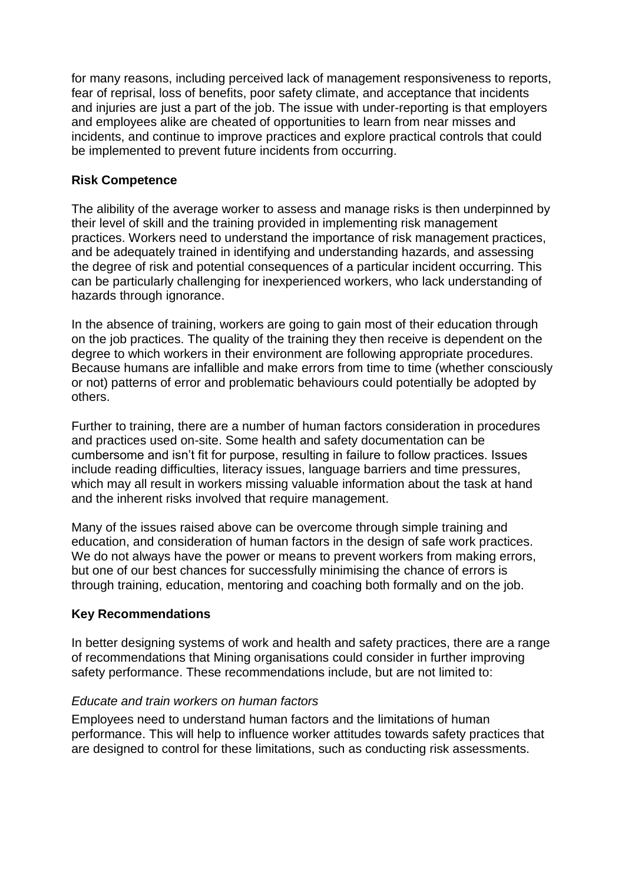for many reasons, including perceived lack of management responsiveness to reports, fear of reprisal, loss of benefits, poor safety climate, and acceptance that incidents and injuries are just a part of the job. The issue with under-reporting is that employers and employees alike are cheated of opportunities to learn from near misses and incidents, and continue to improve practices and explore practical controls that could be implemented to prevent future incidents from occurring.

## **Risk Competence**

The alibility of the average worker to assess and manage risks is then underpinned by their level of skill and the training provided in implementing risk management practices. Workers need to understand the importance of risk management practices, and be adequately trained in identifying and understanding hazards, and assessing the degree of risk and potential consequences of a particular incident occurring. This can be particularly challenging for inexperienced workers, who lack understanding of hazards through ignorance.

In the absence of training, workers are going to gain most of their education through on the job practices. The quality of the training they then receive is dependent on the degree to which workers in their environment are following appropriate procedures. Because humans are infallible and make errors from time to time (whether consciously or not) patterns of error and problematic behaviours could potentially be adopted by others.

Further to training, there are a number of human factors consideration in procedures and practices used on-site. Some health and safety documentation can be cumbersome and isn't fit for purpose, resulting in failure to follow practices. Issues include reading difficulties, literacy issues, language barriers and time pressures, which may all result in workers missing valuable information about the task at hand and the inherent risks involved that require management.

Many of the issues raised above can be overcome through simple training and education, and consideration of human factors in the design of safe work practices. We do not always have the power or means to prevent workers from making errors, but one of our best chances for successfully minimising the chance of errors is through training, education, mentoring and coaching both formally and on the job.

#### **Key Recommendations**

In better designing systems of work and health and safety practices, there are a range of recommendations that Mining organisations could consider in further improving safety performance. These recommendations include, but are not limited to:

#### *Educate and train workers on human factors*

Employees need to understand human factors and the limitations of human performance. This will help to influence worker attitudes towards safety practices that are designed to control for these limitations, such as conducting risk assessments.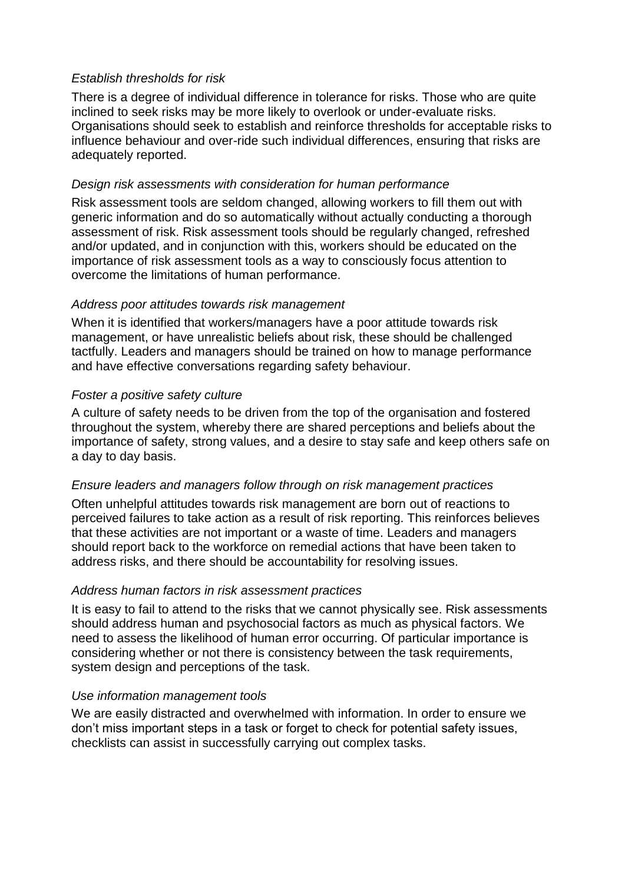## *Establish thresholds for risk*

There is a degree of individual difference in tolerance for risks. Those who are quite inclined to seek risks may be more likely to overlook or under-evaluate risks. Organisations should seek to establish and reinforce thresholds for acceptable risks to influence behaviour and over-ride such individual differences, ensuring that risks are adequately reported.

#### *Design risk assessments with consideration for human performance*

Risk assessment tools are seldom changed, allowing workers to fill them out with generic information and do so automatically without actually conducting a thorough assessment of risk. Risk assessment tools should be regularly changed, refreshed and/or updated, and in conjunction with this, workers should be educated on the importance of risk assessment tools as a way to consciously focus attention to overcome the limitations of human performance.

## *Address poor attitudes towards risk management*

When it is identified that workers/managers have a poor attitude towards risk management, or have unrealistic beliefs about risk, these should be challenged tactfully. Leaders and managers should be trained on how to manage performance and have effective conversations regarding safety behaviour.

## *Foster a positive safety culture*

A culture of safety needs to be driven from the top of the organisation and fostered throughout the system, whereby there are shared perceptions and beliefs about the importance of safety, strong values, and a desire to stay safe and keep others safe on a day to day basis.

#### *Ensure leaders and managers follow through on risk management practices*

Often unhelpful attitudes towards risk management are born out of reactions to perceived failures to take action as a result of risk reporting. This reinforces believes that these activities are not important or a waste of time. Leaders and managers should report back to the workforce on remedial actions that have been taken to address risks, and there should be accountability for resolving issues.

## *Address human factors in risk assessment practices*

It is easy to fail to attend to the risks that we cannot physically see. Risk assessments should address human and psychosocial factors as much as physical factors. We need to assess the likelihood of human error occurring. Of particular importance is considering whether or not there is consistency between the task requirements, system design and perceptions of the task.

#### *Use information management tools*

We are easily distracted and overwhelmed with information. In order to ensure we don't miss important steps in a task or forget to check for potential safety issues, checklists can assist in successfully carrying out complex tasks.